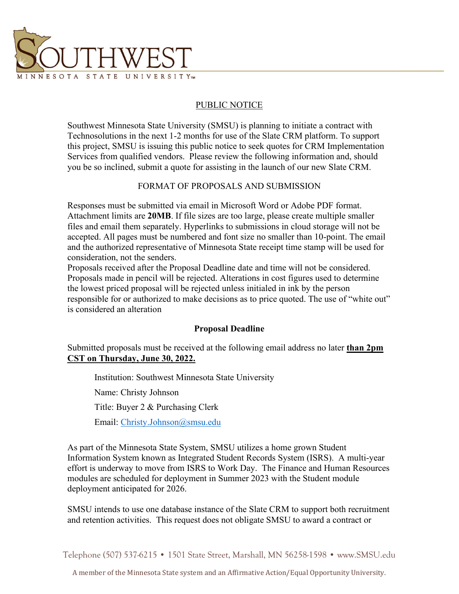

## PUBLIC NOTICE

Southwest Minnesota State University (SMSU) is planning to initiate a contract with Technosolutions in the next 1-2 months for use of the Slate CRM platform. To support this project, SMSU is issuing this public notice to seek quotes for CRM Implementation Services from qualified vendors. Please review the following information and, should you be so inclined, submit a quote for assisting in the launch of our new Slate CRM.

#### FORMAT OF PROPOSALS AND SUBMISSION

Responses must be submitted via email in Microsoft Word or Adobe PDF format. Attachment limits are **20MB**. If file sizes are too large, please create multiple smaller files and email them separately. Hyperlinks to submissions in cloud storage will not be accepted. All pages must be numbered and font size no smaller than 10-point. The email and the authorized representative of Minnesota State receipt time stamp will be used for consideration, not the senders.

Proposals received after the Proposal Deadline date and time will not be considered. Proposals made in pencil will be rejected. Alterations in cost figures used to determine the lowest priced proposal will be rejected unless initialed in ink by the person responsible for or authorized to make decisions as to price quoted. The use of "white out" is considered an alteration

### **Proposal Deadline**

Submitted proposals must be received at the following email address no later **than 2pm CST on Thursday, June 30, 2022.** 

Institution: Southwest Minnesota State University Name: Christy Johnson Title: Buyer 2 & Purchasing Clerk Email: [Christy.Johnson@smsu.edu](mailto:Christy.Johnson@smsu.edu) 

As part of the Minnesota State System, SMSU utilizes a home grown Student Information System known as Integrated Student Records System (ISRS). A multi-year effort is underway to move from ISRS to Work Day. The Finance and Human Resources modules are scheduled for deployment in Summer 2023 with the Student module deployment anticipated for 2026.

SMSU intends to use one database instance of the Slate CRM to support both recruitment and retention activities. This request does not obligate SMSU to award a contract or

Telephone (507) 537-6215 • 1501 State Street, Marshall, MN 56258-1598 • www.SMSU.edu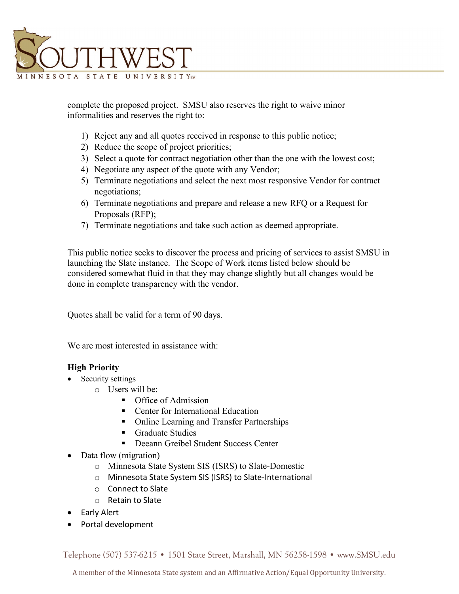

complete the proposed project. SMSU also reserves the right to waive minor informalities and reserves the right to:

- 1) Reject any and all quotes received in response to this public notice;
- 2) Reduce the scope of project priorities;
- 3) Select a quote for contract negotiation other than the one with the lowest cost;
- 4) Negotiate any aspect of the quote with any Vendor;
- 5) Terminate negotiations and select the next most responsive Vendor for contract negotiations;
- 6) Terminate negotiations and prepare and release a new RFQ or a Request for Proposals (RFP);
- 7) Terminate negotiations and take such action as deemed appropriate.

This public notice seeks to discover the process and pricing of services to assist SMSU in launching the Slate instance. The Scope of Work items listed below should be considered somewhat fluid in that they may change slightly but all changes would be done in complete transparency with the vendor.

Quotes shall be valid for a term of 90 days.

We are most interested in assistance with:

# **High Priority**

- Security settings
	- $\circ$  Users will be:
		- **Calculate Office of Admission**
		- **•** Center for International Education
		- Online Learning and Transfer Partnerships
		- **Graduate Studies**
		- **Deeann Greibel Student Success Center**
- Data flow (migration)
	- o Minnesota State System SIS (ISRS) to Slate-Domestic
	- o Minnesota State System SIS (ISRS) to Slate-International
	- o Connect to Slate
	- o Retain to Slate
- Early Alert
- Portal development

Telephone (507) 537-6215 • 1501 State Street, Marshall, MN 56258-1598 • www.SMSU.edu

A member of the Minnesota State system and an Affirmative Action/Equal Opportunity University.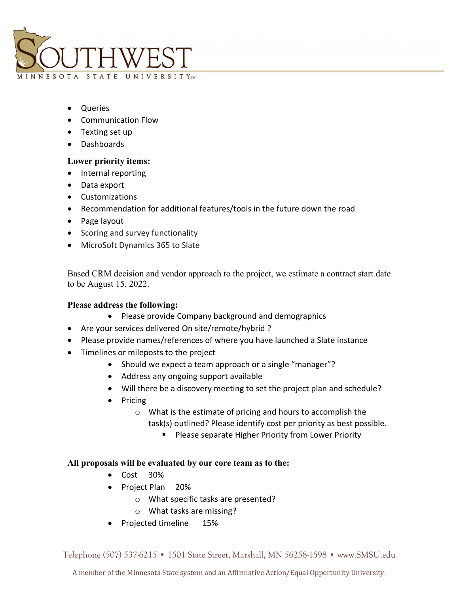

- Queries
- Communication Flow
- Texting set up
- Dashboards

## **Lower priority items:**

- Internal reporting
- Data export
- Customizations
- Recommendation for additional features/tools in the future down the road
- Page layout
- Scoring and survey functionality
- MicroSoft Dynamics 365 to Slate

Based CRM decision and vendor approach to the project, we estimate a contract start date to be August 15, 2022.

### **Please address the following:**

- Please provide Company background and demographics
- Are your services delivered On site/remote/hybrid ?
- Please provide names/references of where you have launched a Slate instance
- Timelines or mileposts to the project
	- Should we expect a team approach or a single "manager"?
	- Address any ongoing support available
	- Will there be a discovery meeting to set the project plan and schedule?
	- Pricing
		- o What is the estimate of pricing and hours to accomplish the task(s) outlined? Please identify cost per priority as best possible.
			- **Please separate Higher Priority from Lower Priority**

### **All proposals will be evaluated by our core team as to the:**

- Cost 30%
- Project Plan 20%
	- o What specific tasks are presented?
	- o What tasks are missing?
- Projected timeline 15%

Telephone (507) 537-6215 • 1501 State Street, Marshall, MN 56258-1598 • www.SMSU.edu

A member of the Minnesota State system and an Affirmative Action/Equal Opportunity University.